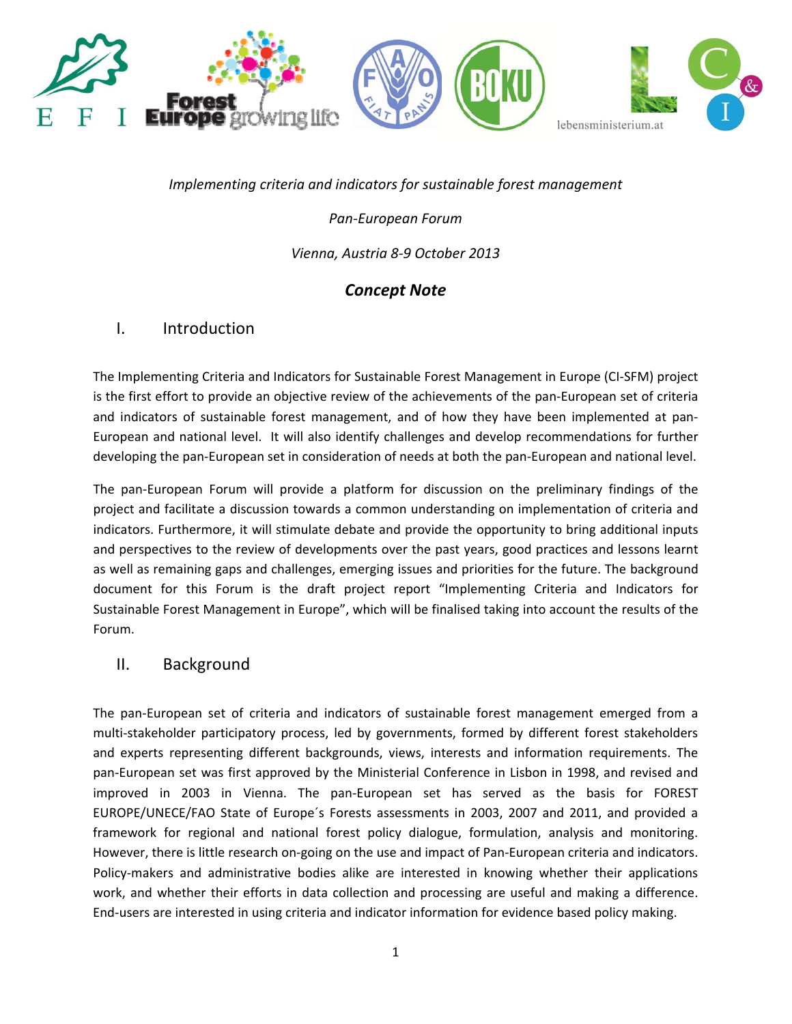

*Implementing criteria and indicators for sustainable forest management*

*Pan‐European Forum*

*Vienna, Austria 8‐9 October 2013*

# *Concept Note*

# I. Introduction

The Implementing Criteria and Indicators for Sustainable Forest Management in Europe (CI‐SFM) project is the first effort to provide an objective review of the achievements of the pan-European set of criteria and indicators of sustainable forest management, and of how they have been implemented at pan‐ European and national level. It will also identify challenges and develop recommendations for further developing the pan‐European set in consideration of needs at both the pan‐European and national level.

The pan‐European Forum will provide a platform for discussion on the preliminary findings of the project and facilitate a discussion towards a common understanding on implementation of criteria and indicators. Furthermore, it will stimulate debate and provide the opportunity to bring additional inputs and perspectives to the review of developments over the past years, good practices and lessons learnt as well as remaining gaps and challenges, emerging issues and priorities for the future. The background document for this Forum is the draft project report "Implementing Criteria and Indicators for Sustainable Forest Management in Europe", which will be finalised taking into account the results of the Forum.

## II. Background

The pan‐European set of criteria and indicators of sustainable forest management emerged from a multi-stakeholder participatory process, led by governments, formed by different forest stakeholders and experts representing different backgrounds, views, interests and information requirements. The pan‐European set was first approved by the Ministerial Conference in Lisbon in 1998, and revised and improved in 2003 in Vienna. The pan‐European set has served as the basis for FOREST EUROPE/UNECE/FAO State of Europe´s Forests assessments in 2003, 2007 and 2011, and provided a framework for regional and national forest policy dialogue, formulation, analysis and monitoring. However, there is little research on-going on the use and impact of Pan-European criteria and indicators. Policy-makers and administrative bodies alike are interested in knowing whether their applications work, and whether their efforts in data collection and processing are useful and making a difference. End‐users are interested in using criteria and indicator information for evidence based policy making.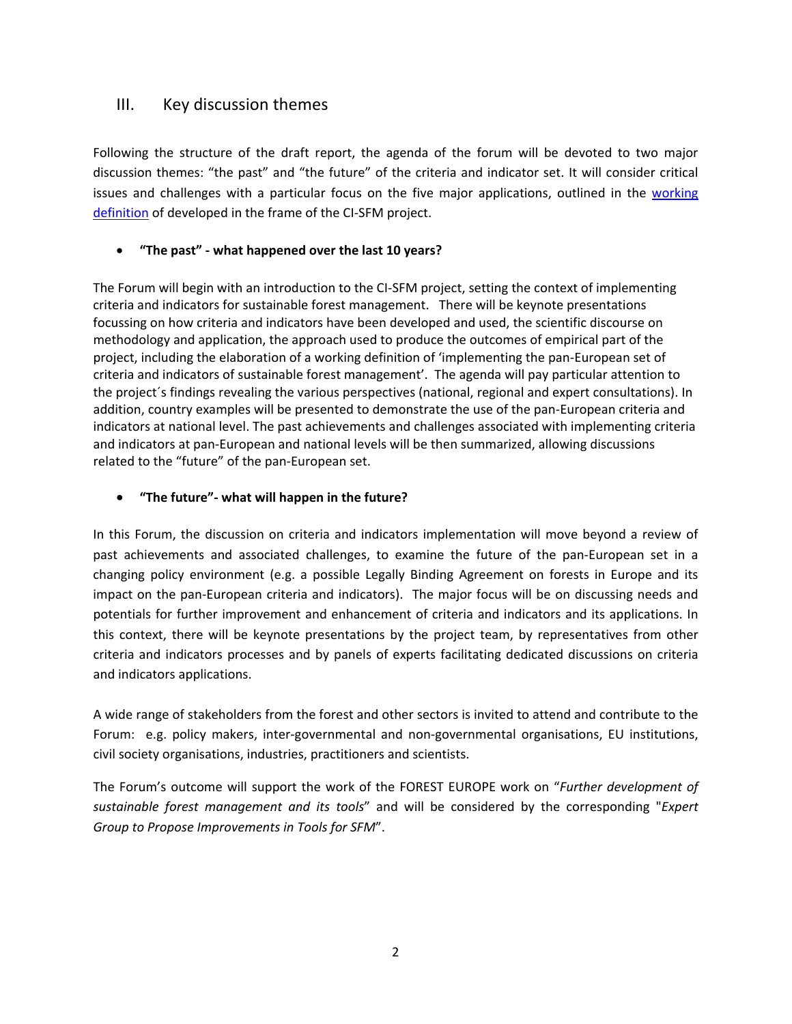## III. Key discussion themes

Following the structure of the draft report, the agenda of the forum will be devoted to two major discussion themes: "the past" and "the future" of the criteria and indicator set. It will consider critical issues and challenges with a particular focus on the five major applications, outlined in the [working](http://www.ci-sfm.org/uploads/Documents/2012/Working%20definition_2.pdf) [definition](http://www.ci-sfm.org/uploads/Documents/2012/Working%20definition_2.pdf) of developed in the frame of the CI-SFM project.

### • **"The past" ‐ what happened over the last 10 years?**

The Forum will begin with an introduction to the CI‐SFM project, setting the context of implementing criteria and indicators for sustainable forest management. There will be keynote presentations focussing on how criteria and indicators have been developed and used, the scientific discourse on methodology and application, the approach used to produce the outcomes of empirical part of the project, including the elaboration of a working definition of 'implementing the pan‐European set of criteria and indicators of sustainable forest management'. The agenda will pay particular attention to the project´s findings revealing the various perspectives (national, regional and expert consultations). In addition, country examples will be presented to demonstrate the use of the pan‐European criteria and indicators at national level. The past achievements and challenges associated with implementing criteria and indicators at pan‐European and national levels will be then summarized, allowing discussions related to the "future" of the pan‐European set.

### • **"The future"‐ what will happen in the future?**

In this Forum, the discussion on criteria and indicators implementation will move beyond a review of past achievements and associated challenges, to examine the future of the pan-European set in a changing policy environment (e.g. a possible Legally Binding Agreement on forests in Europe and its impact on the pan‐European criteria and indicators). The major focus will be on discussing needs and potentials for further improvement and enhancement of criteria and indicators and its applications. In this context, there will be keynote presentations by the project team, by representatives from other criteria and indicators processes and by panels of experts facilitating dedicated discussions on criteria and indicators applications.

A wide range of stakeholders from the forest and other sectors is invited to attend and contribute to the Forum: e.g. policy makers, inter-governmental and non-governmental organisations, EU institutions, civil society organisations, industries, practitioners and scientists.

The Forum's outcome will support the work of the FOREST EUROPE work on "*Further development of sustainable forest management and its tools*" and will be considered by the corresponding "*Expert Group to Propose Improvements in Tools for SFM*".